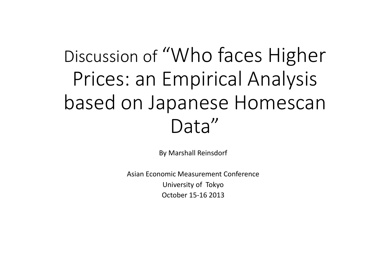# Discussion of "Who faces Higher Prices: an Empirical Analysis based on Japanese Homescan Data"

By Marshall Reinsdorf

Asian Economic Measurement Conference University of Tokyo October 15‐16 2013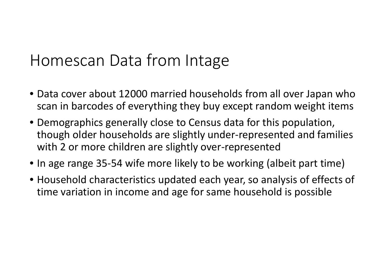#### Homescan Data from Intage

- Data cover about 12000 married households from all over Japan who scan in barcodes of everything they buy except random weight items
- Demographics generally close to Census data for this population, though older households are slightly under‐represented and families with 2 or more children are slightly over‐represented
- In age range 35‐54 wife more likely to be working (albeit part time)
- Household characteristics updated each year, so analysis of effects of time variation in income and age for same household is possible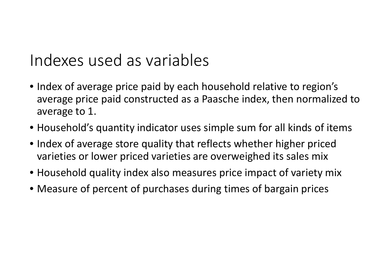#### Indexes used as variables

- Index of average price paid by each household relative to region's average price paid constructed as <sup>a</sup> Paasche index, then normalized to average to 1.
- Household's quantity indicator uses simple sum for all kinds of items
- Index of average store quality that reflects whether higher priced varieties or lower priced varieties are overweighed its sales mix
- Household quality index also measures price impact of variety mix
- Measure of percent of purchases during times of bargain prices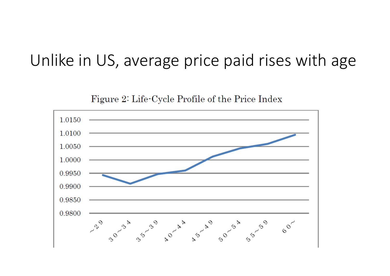#### Unlike in US, average price paid rises with age

Figure 2: Life-Cycle Profile of the Price Index

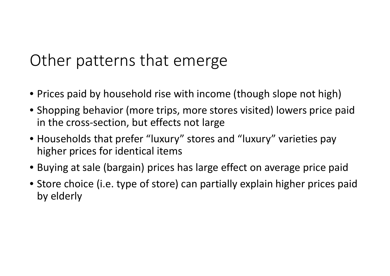## Other patterns that emerge

- Prices paid by household rise with income (though slope not high)
- Shopping behavior (more trips, more stores visited) lowers price paid in the cross‐section, but effects not large
- Households that prefer "luxury" stores and "luxury" varieties pay higher prices for identical items
- Buying at sale (bargain) prices has large effect on average price paid
- Store choice (i.e. type of store) can partially explain higher prices paid by elderly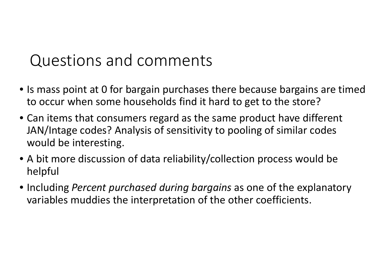## Questions and comments

- Is mass point at 0 for bargain purchases there because bargains are timed to occur when some households find it hard to get to the store?
- Can items that consumers regard as the same product have different JAN/Intage codes? Analysis of sensitivity to pooling of similar codes would be interesting.
- A bit more discussion of data reliability/collection process would be helpful
- Including *Percent purchased during bargains* as one of the explanatory variables muddies the interpretation of the other coefficients.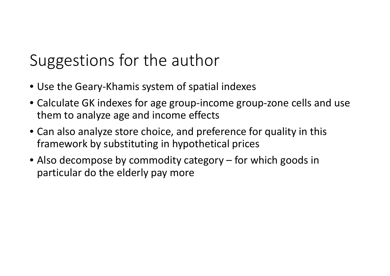# Suggestions for the author

- Use the Geary‐Khamis system of spatial indexes
- Calculate GK indexes for age group‐income group‐zone cells and use them to analyze age and income effects
- Can also analyze store choice, and preference for quality in this framework by substituting in hypothetical prices
- Also decompose by commodity category for which goods in particular do the elderly pay more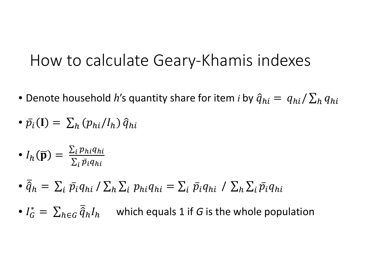#### How to calculate Geary‐Khamis indexes

- Denote household *h'*s quantity share for item *i* by  $\widehat{q}_{hi} = |q_{hi}/\sum_h q_{hi}|$
- $\bullet$   $\bar{p}$  $\mathbf{y}_i(\mathbf{I}) = \sum_h (p_{hi}/I_h) \hat{q}_{hi}$
- $\bullet$   $I_h(\overline{\mathbf{p}}) = \frac{\sum_{i} p_{hi} q_{hi}}{\sum_{i} \bar{p}_i q_{hi}}$
- $\bullet$   $\widehat{q}$  $\widehat{q}_h = \, \Sigma_i \; \bar{p_i} q_{hi} \, / \, \Sigma_h \, \Sigma_i \, p_{hi} q_{hi} = \Sigma_i \; \bar{p_i} q_{hi} \, / \, \Sigma_h \, \Sigma_i \, \bar{p_i} q_{hi}$
- $\bullet$   $I_G^* = \sum_{h \in G} \overline{\widehat{q}}$  $h{\in}G$  ' which equals 1 if *G* is the whole population